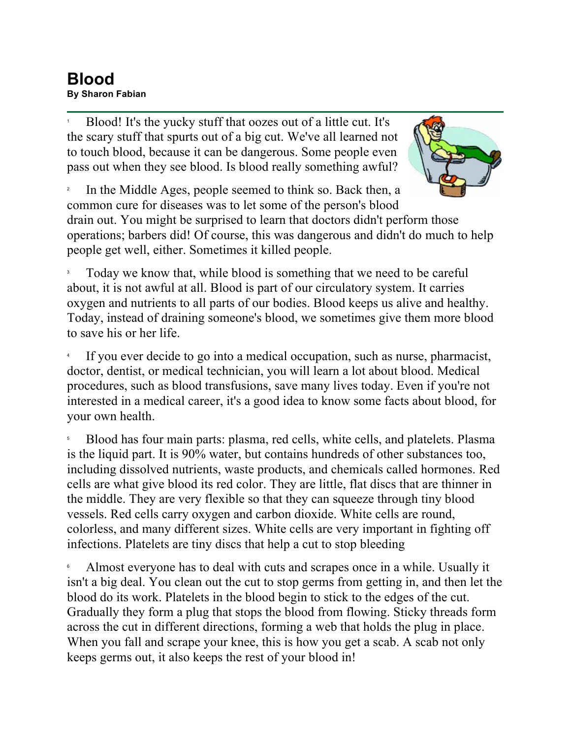## **Blood By Sharon Fabian**

1 Blood! It's the yucky stuff that oozes out of a little cut. It's the scary stuff that spurts out of a big cut. We've all learned not to touch blood, because it can be dangerous. Some people even pass out when they see blood. Is blood really something awful?



2 In the Middle Ages, people seemed to think so. Back then, a common cure for diseases was to let some of the person's blood

drain out. You might be surprised to learn that doctors didn't perform those operations; barbers did! Of course, this was dangerous and didn't do much to help people get well, either. Sometimes it killed people.

3 Today we know that, while blood is something that we need to be careful about, it is not awful at all. Blood is part of our circulatory system. It carries oxygen and nutrients to all parts of our bodies. Blood keeps us alive and healthy. Today, instead of draining someone's blood, we sometimes give them more blood to save his or her life.

4 If you ever decide to go into a medical occupation, such as nurse, pharmacist, doctor, dentist, or medical technician, you will learn a lot about blood. Medical procedures, such as blood transfusions, save many lives today. Even if you're not interested in a medical career, it's a good idea to know some facts about blood, for your own health.

5 Blood has four main parts: plasma, red cells, white cells, and platelets. Plasma is the liquid part. It is 90% water, but contains hundreds of other substances too, including dissolved nutrients, waste products, and chemicals called hormones. Red cells are what give blood its red color. They are little, flat discs that are thinner in the middle. They are very flexible so that they can squeeze through tiny blood vessels. Red cells carry oxygen and carbon dioxide. White cells are round, colorless, and many different sizes. White cells are very important in fighting off infections. Platelets are tiny discs that help a cut to stop bleeding

6 Almost everyone has to deal with cuts and scrapes once in a while. Usually it isn't a big deal. You clean out the cut to stop germs from getting in, and then let the blood do its work. Platelets in the blood begin to stick to the edges of the cut. Gradually they form a plug that stops the blood from flowing. Sticky threads form across the cut in different directions, forming a web that holds the plug in place. When you fall and scrape your knee, this is how you get a scab. A scab not only keeps germs out, it also keeps the rest of your blood in!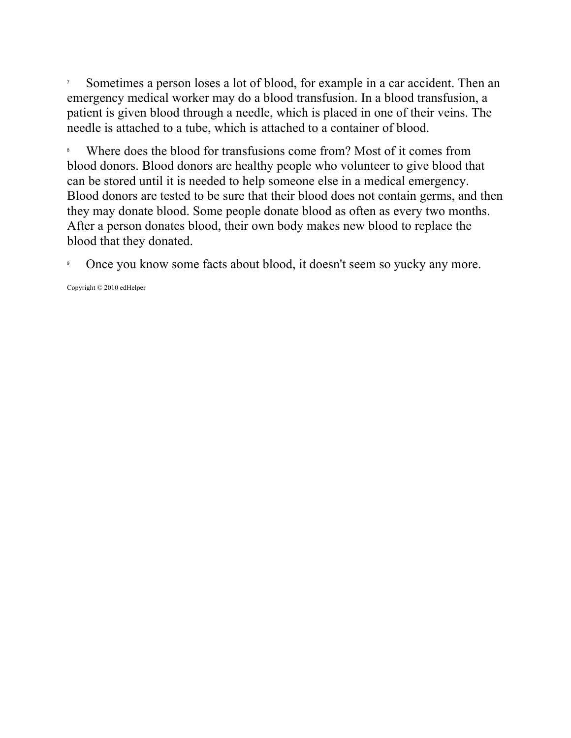7 Sometimes a person loses a lot of blood, for example in a car accident. Then an emergency medical worker may do a blood transfusion. In a blood transfusion, a patient is given blood through a needle, which is placed in one of their veins. The needle is attached to a tube, which is attached to a container of blood.

8 Where does the blood for transfusions come from? Most of it comes from blood donors. Blood donors are healthy people who volunteer to give blood that can be stored until it is needed to help someone else in a medical emergency. Blood donors are tested to be sure that their blood does not contain germs, and then they may donate blood. Some people donate blood as often as every two months. After a person donates blood, their own body makes new blood to replace the blood that they donated.

9 Once you know some facts about blood, it doesn't seem so yucky any more.

Copyright © 2010 edHelper